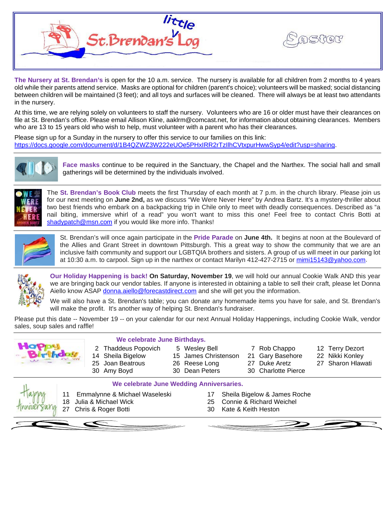

**The Nursery at St. Brendan's** is open for the 10 a.m. service. The nursery is available for all children from 2 months to 4 years old while their parents attend service. Masks are optional for children (parent's choice); volunteers will be masked; social distancing between children will be maintained (3 feet); and all toys and surfaces will be cleaned. There will always be at least two attendants in the nursery.

At this time, we are relying solely on volunteers to staff the nursery. Volunteers who are 16 or older must have their clearances on file at St. Brendan's office. Please email Allison Kline, aaklrm@comcast.net, for information about obtaining clearances. Members who are 13 to 15 years old who wish to help, must volunteer with a parent who has their clearances.

Please sign up for a Sunday in the nursery to offer this service to our families on this link: [https://docs.google.com/document/d/1B4QZWZ3W222eUOe5PHxIRR2rTzIlhCVtxpurHwwSyp4/edit?usp=sharing.](https://docs.google.com/document/d/1B4QZWZ3W222eUOe5PHxIRR2rTzIlhCVtxpurHwwSyp4/edit?usp=sharing)



**Face masks** continue to be required in the Sanctuary, the Chapel and the Narthex. The social hall and small gatherings will be determined by the individuals involved.



The **St. Brendan's Book Club** meets the first Thursday of each month at 7 p.m. in the church library. Please join us for our next meeting on **June 2nd,** as we discuss "We Were Never Here" by Andrea Bartz. It's a mystery-thriller about two best friends who embark on a backpacking trip in Chile only to meet with deadly consequences. Described as "a nail biting, immersive whirl of a read" you won't want to miss this one! Feel free to contact Chris Botti at [shadypatch@msn.com](mailto:shadypatch@msn.com) if you would like more info. Thanks!



St. Brendan's will once again participate in the **Pride Parade** on **June 4th.** It begins at noon at the Boulevard of the Allies and Grant Street in downtown Pittsburgh. This a great way to show the community that we are an inclusive faith community and support our LGBTQIA brothers and sisters. A group of us will meet in our parking lot at 10:30 a.m. to carpool. Sign up in the narthex or contact Marilyn 412-427-2715 or [mimi15143@yahoo.com.](mailto:mimi15143@yahoo.com)



**Our Holiday Happening is back! On Saturday, November 19**, we will hold our annual Cookie Walk AND this year we are bringing back our vendor tables. If anyone is interested in obtaining a table to sell their craft, please let Donna Aiello know ASAP [donna.aiello@forecastdirect.com](mailto:donna.aiello@forecastdirect.com) and she will get you the information.

We will also have a St. Brendan's table; you can donate any homemade items you have for sale, and St. Brendan's will make the profit. It's another way of helping St. Brendan's fundraiser.

Please put this date -- November 19 -- on your calendar for our next Annual Holiday Happenings, including Cookie Walk, vendor sales, soup sales and raffle!

| We celebrate June Birthdays.<br><b>Thaddeus Popovich</b><br>2<br>14 Sheila Bigelow<br>25 Joan Beatrous<br>30 Amy Boyd                                                     |                        |  | 5 Wesley Bell<br>15 James Christenson<br>26 Reese Long<br>30 Dean Peters |  | 7 Rob Chappo<br>21 Gary Basehore<br>Duke Aretz<br>27<br>30 Charlotte Pierce |  | 12 Terry Dezort<br>22 Nikki Konley<br>27 Sharon Hlawati |
|---------------------------------------------------------------------------------------------------------------------------------------------------------------------------|------------------------|--|--------------------------------------------------------------------------|--|-----------------------------------------------------------------------------|--|---------------------------------------------------------|
| We celebrate June Wedding Anniversaries.<br>Emmalynne & Michael Waseleski<br>Sheila Bigelow & James Roche<br>Julia & Michael Wick<br>Connie & Richard Weichel<br>18<br>25 |                        |  |                                                                          |  |                                                                             |  |                                                         |
|                                                                                                                                                                           | 27 Chris & Roger Botti |  | 30                                                                       |  | Kate & Keith Heston                                                         |  |                                                         |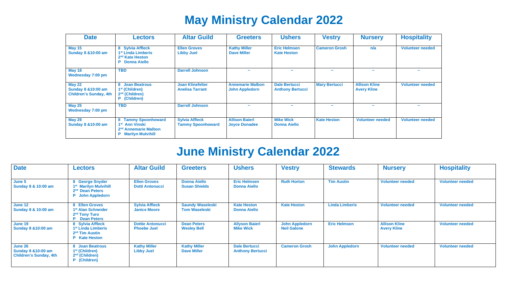# **May Ministry Calendar 2022**

| <b>Date</b>                                                                      | <b>Lectors</b>                                                                                                      | <b>Altar Guild</b>                                | <b>Greeters</b>                                  | <b>Ushers</b>                                   | <b>Vestry</b>        | <b>Nursery</b>                             | <b>Hospitality</b>      |
|----------------------------------------------------------------------------------|---------------------------------------------------------------------------------------------------------------------|---------------------------------------------------|--------------------------------------------------|-------------------------------------------------|----------------------|--------------------------------------------|-------------------------|
| <b>May 15</b><br><b>Sunday 8 &amp; 10:00 am</b>                                  | 8 Sylvia Affleck<br>1 <sup>st</sup> Linda Limberis<br>2 <sup>nd</sup> Kate Heston<br><b>Donna Aiello</b><br>P       | <b>Ellen Groves</b><br><b>Libby Juel</b>          | <b>Kathy Miller</b><br><b>Dave Miller</b>        | <b>Eric Helmsen</b><br><b>Kate Heston</b>       | <b>Cameron Grosh</b> | n/a                                        | <b>Volunteer needed</b> |
| <b>May 18</b><br>Wednesday 7:00 pm                                               | <b>TBD</b>                                                                                                          | <b>Darrell Johnson</b>                            | $\tilde{\phantom{a}}$                            | $\overline{\phantom{a}}$                        | $\sim$               | $\tilde{\phantom{a}}$                      | $\tilde{}$              |
| <b>May 22</b><br><b>Sunday 8 &amp; 10:00 am</b><br><b>Children's Sunday, 4th</b> | 8 Joan Beatrous<br>1 <sup>st</sup> (Children)<br>$2nd$ (Children)<br>P (Children)                                   | <b>Joan Klinefelter</b><br><b>Anelisa Tarrant</b> | <b>Annemarie Malbon</b><br><b>John Appledorn</b> | <b>Dale Bertucci</b><br><b>Anthony Bertucci</b> | <b>Mary Bertucci</b> | <b>Allison Kline</b><br><b>Avery Kline</b> | <b>Volunteer needed</b> |
| <b>May 25</b><br>Wednesday 7:00 pm                                               | <b>TBD</b>                                                                                                          | <b>Darrell Johnson</b>                            | $\tilde{\phantom{a}}$                            | $\tilde{}$                                      | $\tilde{}$           |                                            | $\tilde{}$              |
| <b>May 29</b><br><b>Sunday 8 &amp; 10:00 am</b>                                  | 8 Tammy Spoonhoward<br>1 <sup>st</sup> Ann Vinski<br>2 <sup>nd</sup> Annemarie Malbon<br><b>P</b> Marilyn Mulvihill | <b>Sylvia Affleck</b><br><b>Tammy Spoonhoward</b> | <b>Allison Baierl</b><br><b>Joyce Donadee</b>    | <b>Mike Wick</b><br><b>Donna Aiello</b>         | <b>Kate Heston</b>   | <b>Volunteer needed</b>                    | <b>Volunteer needed</b> |

# **June Ministry Calendar 2022**

| <b>Date</b>                                                                | <b>Lectors</b>                                                                                               | <b>Altar Guild</b>                            | <b>Greeters</b>                                 | <b>Ushers</b>                                   | <b>Vestry</b>                               | <b>Stewards</b>       | <b>Nursery</b>                             | <b>Hospitality</b>      |
|----------------------------------------------------------------------------|--------------------------------------------------------------------------------------------------------------|-----------------------------------------------|-------------------------------------------------|-------------------------------------------------|---------------------------------------------|-----------------------|--------------------------------------------|-------------------------|
| June 5<br>Sunday 8 & 10:00 am                                              | 8 George Snyder<br>1 <sup>st</sup> Marilyn Mulvihill<br>2 <sup>nd</sup> Dean Peters<br>John Appledorn        | <b>Ellen Groves</b><br><b>Dotti Antonucci</b> | <b>Donna Aiello</b><br><b>Susan Shields</b>     | <b>Eric Helmsen</b><br><b>Donna Aiello</b>      | <b>Ruth Horton</b>                          | <b>Tim Austin</b>     | <b>Volunteer needed</b>                    | <b>Volunteer needed</b> |
| June 12<br>Sunday 8 & 10:00 am                                             | 8 Ellen Groves<br>1 <sup>st</sup> Alan Schneider<br>2 <sup>nd</sup> Tony Turo<br><b>P</b> Dean Peters        | <b>Sylvia Affleck</b><br><b>Janice Moore</b>  | <b>Saundy Waseleski</b><br><b>Tom Waseleski</b> | <b>Kate Heston</b><br><b>Donna Aiello</b>       | <b>Kate Heston</b>                          | <b>Linda Limberis</b> | <b>Volunteer needed</b>                    | <b>Volunteer needed</b> |
| June 19<br><b>Sunday 8 &amp; 10:00 am</b>                                  | 8 Sylvia Affleck<br>1 <sup>st</sup> Linda Limberis<br>2 <sup>nd</sup> Tim Austin<br><b>Kate Heston</b><br>P. | <b>Dottie Antonucci</b><br><b>Phoebe Juel</b> | <b>Dean Peters</b><br><b>Wesley Bell</b>        | <b>Allyson Baierl</b><br><b>Mike Wick</b>       | <b>John Appledorn</b><br><b>Neil Galone</b> | <b>Eric Helmsen</b>   | <b>Allison Kline</b><br><b>Avery Kline</b> | <b>Volunteer needed</b> |
| June 26<br><b>Sunday 8 &amp; 10:00 am</b><br><b>Children's Sunday, 4th</b> | 8 Joan Beatrous<br>1 <sup>st</sup> (Children)<br>2 <sup>nd</sup> (Children)<br>(Children)                    | <b>Kathy Miller</b><br><b>Libby Juel</b>      | <b>Kathy Miller</b><br><b>Dave Miller</b>       | <b>Dale Bertucci</b><br><b>Anthony Bertucci</b> | <b>Cameron Grosh</b>                        | <b>John Appledorn</b> | <b>Volunteer needed</b>                    | <b>Volunteer needed</b> |